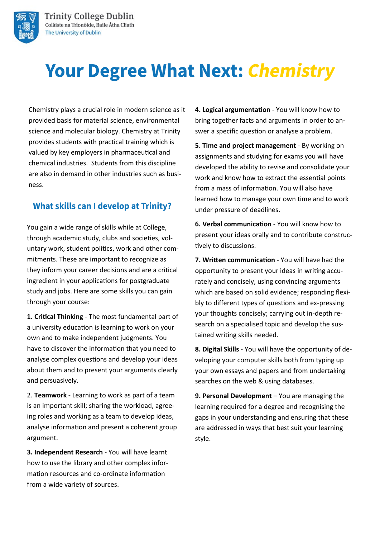

# **Your Degree What Next: Chemistry**

Chemistry plays a crucial role in modern science as it provided basis for material science, environmental science and molecular biology. Chemistry at Trinity provides students with practical training which is valued by key employers in pharmaceutical and chemical industries. Students from this discipline are also in demand in other industries such as business.

#### **What skills can I develop at Trinity?**

You gain a wide range of skills while at College, through academic study, clubs and societies, voluntary work, student politics, work and other commitments. These are important to recognize as they inform your career decisions and are a critical ingredient in your applications for postgraduate study and jobs. Here are some skills you can gain through your course:

**1. Critical Thinking** - The most fundamental part of a university education is learning to work on your own and to make independent judgments. You have to discover the information that you need to analyse complex questions and develop your ideas about them and to present your arguments clearly and persuasively.

2. **Teamwork** - Learning to work as part of a team is an important skill; sharing the workload, agreeing roles and working as a team to develop ideas, analyse information and present a coherent group argument.

**3. Independent Research** - You will have learnt how to use the library and other complex information resources and co-ordinate information from a wide variety of sources.

**4. Logical argumentation** - You will know how to bring together facts and arguments in order to answer a specific question or analyse a problem.

**5. Time and project management** - By working on assignments and studying for exams you will have developed the ability to revise and consolidate your work and know how to extract the essential points from a mass of information. You will also have learned how to manage your own time and to work under pressure of deadlines.

**6. Verbal communication** - You will know how to present your ideas orally and to contribute constructively to discussions.

**7. Written communication** - You will have had the opportunity to present your ideas in writing accurately and concisely, using convincing arguments which are based on solid evidence; responding flexibly to different types of questions and ex-pressing your thoughts concisely; carrying out in-depth research on a specialised topic and develop the sustained writing skills needed.

**8. Digital Skills** - You will have the opportunity of developing your computer skills both from typing up your own essays and papers and from undertaking searches on the web & using databases.

**9. Personal Development** – You are managing the learning required for a degree and recognising the gaps in your understanding and ensuring that these are addressed in ways that best suit your learning style.